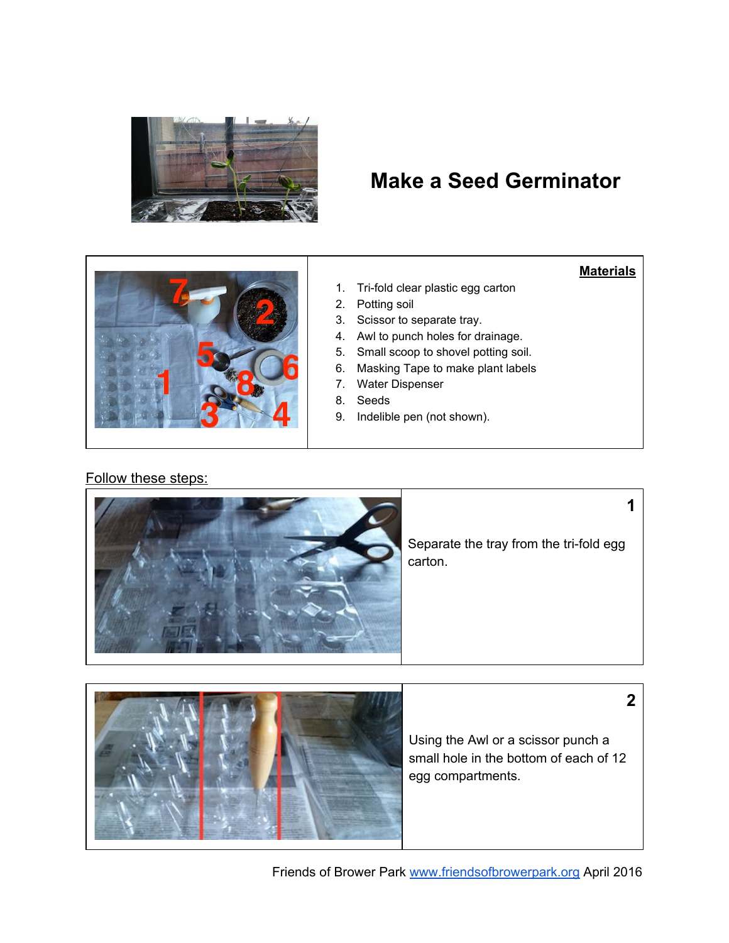

# **Make a Seed Germinator**



## **Materials**

**1**

**2**

- 1. Tri-fold clear plastic egg carton
- 2. Potting soil
- 3. Scissor to separate tray.
- 4. Awl to punch holes for drainage.
- 5. Small scoop to shovel potting soil.
- 6. Masking Tape to make plant labels
- 7. Water Dispenser
- 8. Seeds
- 9. Indelible pen (not shown).

### Follow these steps:



Separate the tray from the tri-fold egg carton.



Using the Awl or a scissor punch a small hole in the bottom of each of 12 egg compartments.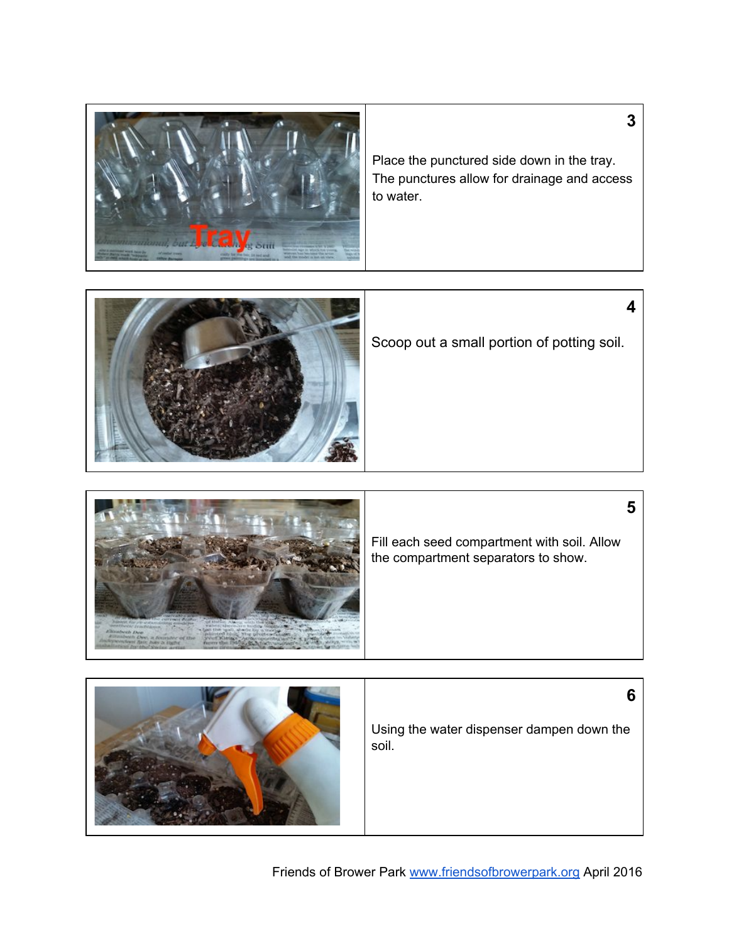

Place the punctured side down in the tray. The punctures allow for drainage and access to water.

**3**

**4**



| Fill each seed compartment with soil. Allow<br>the compartment separators to show.<br><b>Callingham</b><br><b>EXEMPLE DAM</b><br><b>CATALLINE AND ARRANGEMENT</b><br>washing face holy in their |
|-------------------------------------------------------------------------------------------------------------------------------------------------------------------------------------------------|
|-------------------------------------------------------------------------------------------------------------------------------------------------------------------------------------------------|

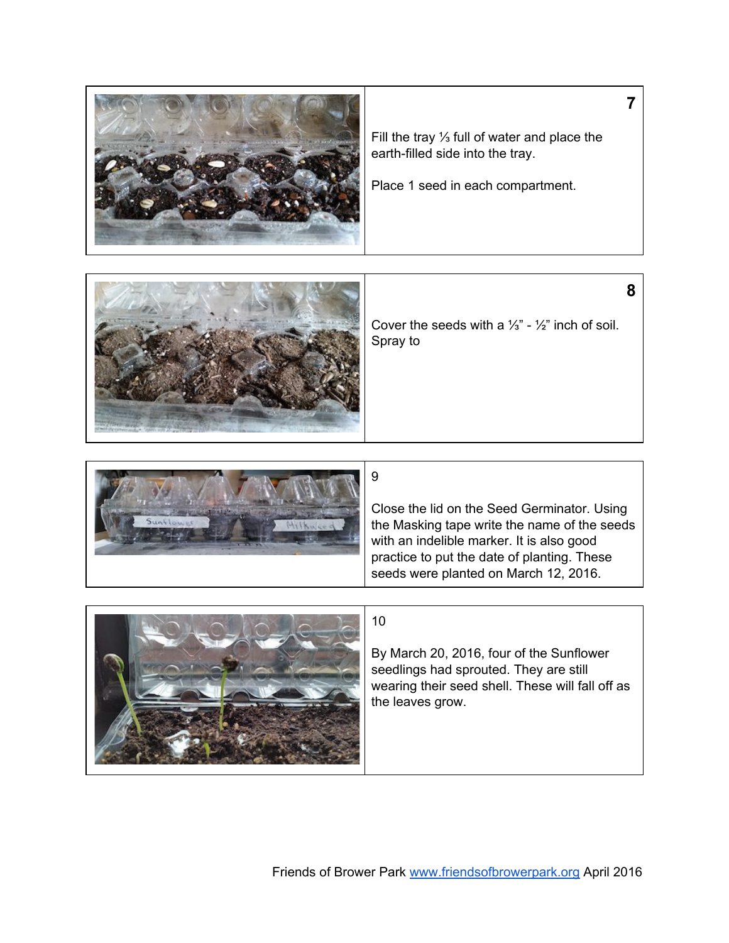





Friends of Brower Park [www.friendsofbrowerpark.org](http://www.friendsofbrowerpark.org/) April 2016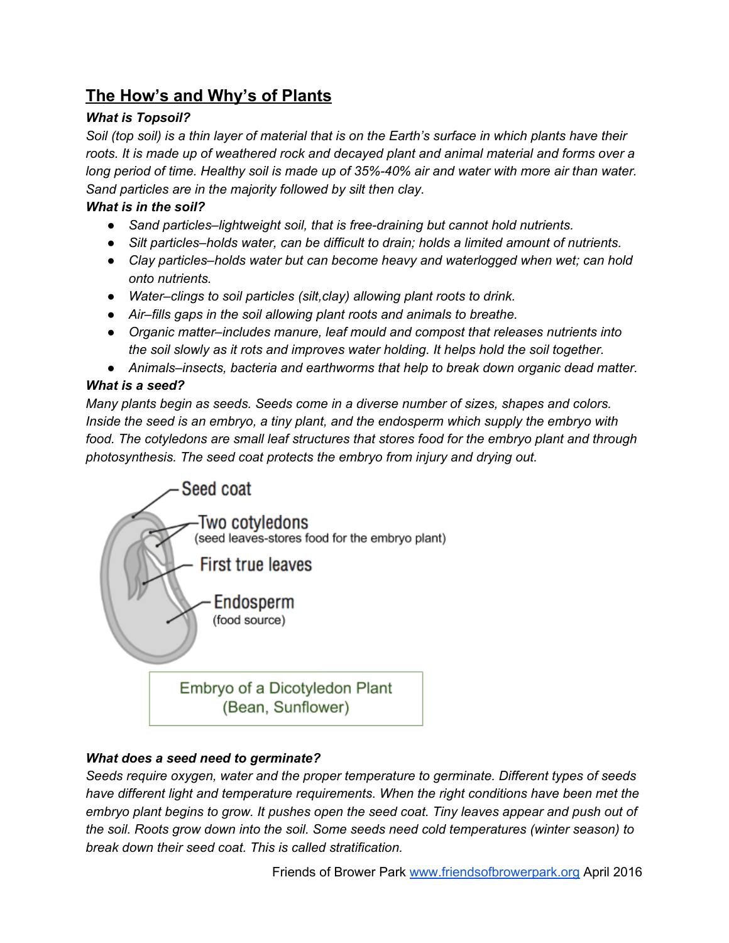## **The How's and Why's of Plants**

## *What is Topsoil?*

Soil (top soil) is a thin layer of material that is on the Earth's surface in which plants have their *roots. It is made up of weathered rock and decayed plant and animal material and forms over a* long period of time. Healthy soil is made up of 35%-40% air and water with more air than water. *Sand particles are in the majority followed by silt then clay.*

## *What is in the soil?*

- *● Sand particles–lightweight soil, that is freedraining but cannot hold nutrients.*
- *● Silt particles–holds water, can be difficult to drain; holds a limited amount of nutrients.*
- *● Clay particles–holds water but can become heavy and waterlogged when wet; can hold onto nutrients.*
- *● Water–clings to soil particles (silt,clay) allowing plant roots to drink.*
- *● Air–fills gaps in the soil allowing plant roots and animals to breathe.*
- *● Organic matter–includes manure, leaf mould and compost that releases nutrients into the soil slowly as it rots and improves water holding. It helps hold the soil together.*
- *● Animals–insects, bacteria and earthworms that help to break down organic dead matter.*

## *What is a seed?*

*Many plants begin as seeds. Seeds come in a diverse number of sizes, shapes and colors. Inside the seed is an embryo, a tiny plant, and the endosperm which supply the embryo with food. The cotyledons are small leaf structures that stores food for the embryo plant and through photosynthesis. The seed coat protects the embryo from injury and drying out.*



## *What does a seed need to germinate?*

*Seeds require oxygen, water and the proper temperature to germinate. Different types of seeds have different light and temperature requirements. When the right conditions have been met the embryo plant begins to grow. It pushes open the seed coat. Tiny leaves appear and push out of the soil. Roots grow down into the soil. Some seeds need cold temperatures (winter season) to break down their seed coat. This is called stratification.*